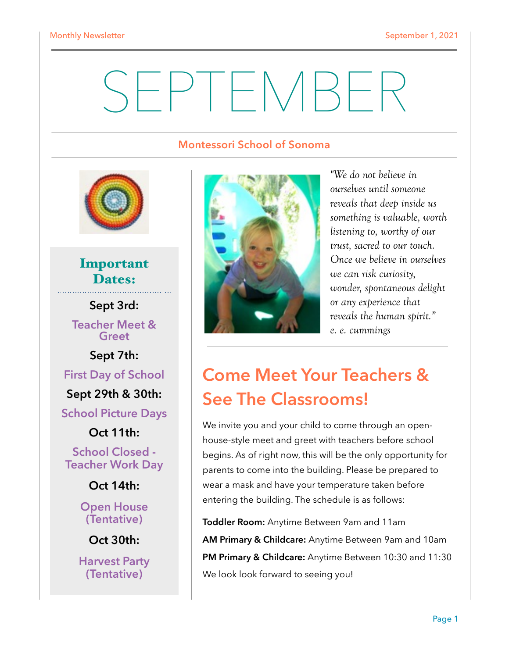# SEPTEMBER

#### **Montessori School of Sonoma**



Important Dates:

**Sept 3rd: Teacher Meet &** 

**Greet** 

**Sept 7th:** 

**First Day of School** 

**Sept 29th & 30th:** 

**School Picture Days** 

**Oct 11th:** 

**School Closed - Teacher Work Day** 

**Oct 14th:** 

**Open House (Tentative)** 

**Oct 30th:** 

**Harvest Party (Tentative)**



*"We do not believe in ourselves until someone reveals that deep inside us something is valuable, worth listening to, worthy of our trust, sacred to our touch. Once we believe in ourselves we can risk curiosity, wonder, spontaneous delight or any experience that reveals the human spirit." [e. e. cummings](https://www.azquotes.com/author/3548-e_e_cummings)*

### **Come Meet Your Teachers & See The Classrooms!**

We invite you and your child to come through an openhouse-style meet and greet with teachers before school begins. As of right now, this will be the only opportunity for parents to come into the building. Please be prepared to wear a mask and have your temperature taken before entering the building. The schedule is as follows:

**Toddler Room:** Anytime Between 9am and 11am **AM Primary & Childcare:** Anytime Between 9am and 10am **PM Primary & Childcare:** Anytime Between 10:30 and 11:30 We look look forward to seeing you!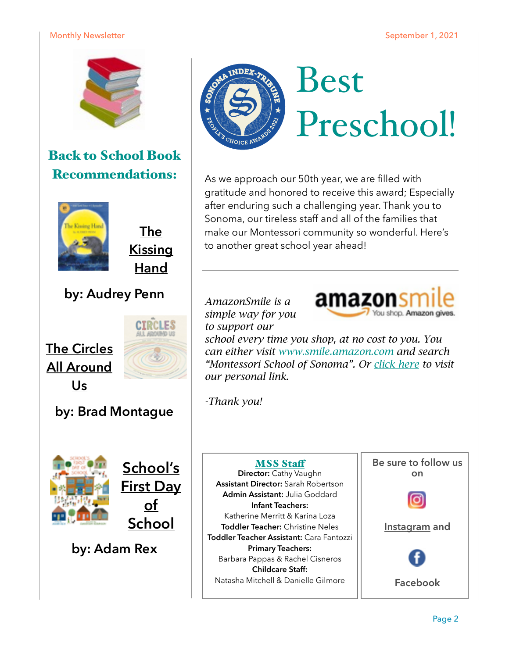#### Monthly Newsletter National Communication of the September 1, 2021



### Back to School Book Recommendations:



**The Kissing Hand** 

### **by: Audrey Penn**



**by: Brad Montague** 



**School's First Day of School** 

**by: Adam Rex**



## Best Preschool!

As we approach our 50th year, we are filled with gratitude and honored to receive this award; Especially after enduring such a challenging year. Thank you to Sonoma, our tireless staff and all of the families that make our Montessori community so wonderful. Here's to another great school year ahead!

#### *AmazonSmile is a simple way for you to support our*



*school every time you shop, at no cost to you. You can either visit [www.smile.amazon.com](https://smile.amazon.com/gp/chpf/homepage/ref=smi_chpf_redirect?ie=UTF8&%2AVersion%2A=1&%2Aentries%2A=0) and search "Montessori School of Sonoma". Or [click here](https://smile.amazon.com/gp/chpf/homepage/ref=smi_chpf_redirect?ie=UTF8&ein=942174042&ref_=smi_ext_ch_942174042_cl) to visit our personal link.* 

*-Thank you!* 

### **MSS Staff**

**Director:** Cathy Vaughn **Assistant Director:** Sarah Robertson **Admin Assistant:** Julia Goddard **Infant Teachers:**  Katherine Merritt & Karina Loza **Toddler Teacher:** Christine Neles **Toddler Teacher Assistant:** Cara Fantozzi **Primary Teachers:**  Barbara Pappas & Rachel Cisneros **Childcare Staff:**  Natasha Mitchell & Danielle Gilmore





**[Instagram](http://www.instagram.com) and** 

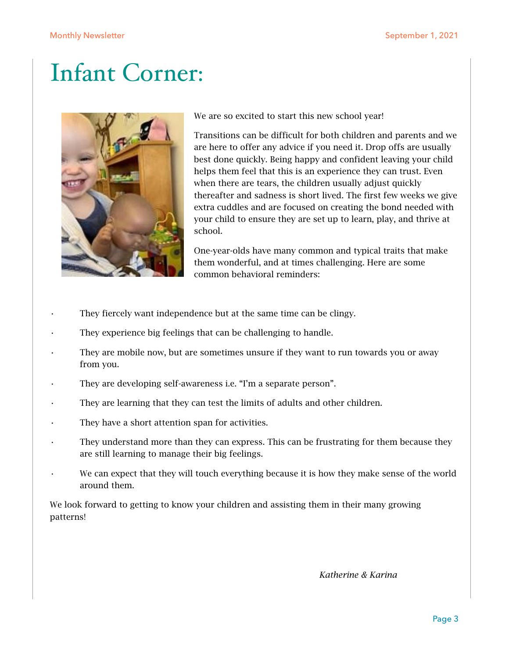### Infant Corner:



We are so excited to start this new school year!

Transitions can be difficult for both children and parents and we are here to offer any advice if you need it. Drop offs are usually best done quickly. Being happy and confident leaving your child helps them feel that this is an experience they can trust. Even when there are tears, the children usually adjust quickly thereafter and sadness is short lived. The first few weeks we give extra cuddles and are focused on creating the bond needed with your child to ensure they are set up to learn, play, and thrive at school.

One-year-olds have many common and typical traits that make them wonderful, and at times challenging. Here are some common behavioral reminders:

- They fiercely want independence but at the same time can be clingy.
- They experience big feelings that can be challenging to handle.
- They are mobile now, but are sometimes unsure if they want to run towards you or away from you.
- They are developing self-awareness i.e. "I'm a separate person".
- They are learning that they can test the limits of adults and other children.
- They have a short attention span for activities.
- They understand more than they can express. This can be frustrating for them because they are still learning to manage their big feelings.
- We can expect that they will touch everything because it is how they make sense of the world around them.

We look forward to getting to know your children and assisting them in their many growing patterns!

 *Katherine & Karina*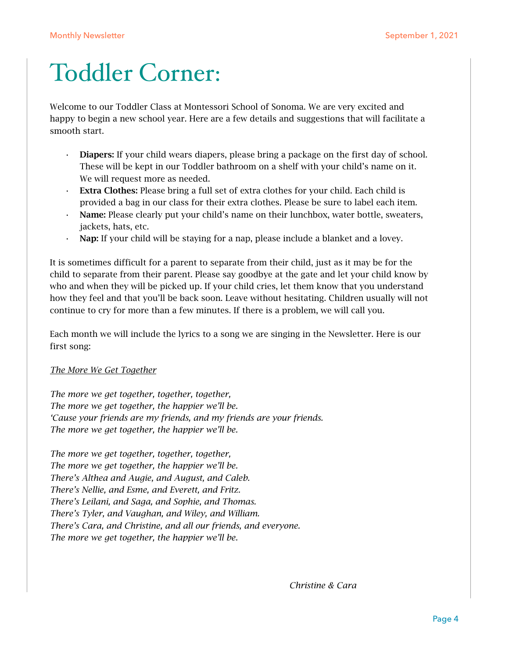### Toddler Corner:

Welcome to our Toddler Class at Montessori School of Sonoma. We are very excited and happy to begin a new school year. Here are a few details and suggestions that will facilitate a smooth start.

- Diapers: If your child wears diapers, please bring a package on the first day of school. These will be kept in our Toddler bathroom on a shelf with your child's name on it. We will request more as needed.
- Extra Clothes: Please bring a full set of extra clothes for your child. Each child is provided a bag in our class for their extra clothes. Please be sure to label each item.
- Name: Please clearly put your child's name on their lunchbox, water bottle, sweaters, jackets, hats, etc.
- Nap: If your child will be staying for a nap, please include a blanket and a lovey.

It is sometimes difficult for a parent to separate from their child, just as it may be for the child to separate from their parent. Please say goodbye at the gate and let your child know by who and when they will be picked up. If your child cries, let them know that you understand how they feel and that you'll be back soon. Leave without hesitating. Children usually will not continue to cry for more than a few minutes. If there is a problem, we will call you.

Each month we will include the lyrics to a song we are singing in the Newsletter. Here is our first song:

#### *The More We Get Together*

*The more we get together, together, together, The more we get together, the happier we'll be. 'Cause your friends are my friends, and my friends are your friends. The more we get together, the happier we'll be.* 

*The more we get together, together, together, The more we get together, the happier we'll be. There's Althea and Augie, and August, and Caleb. There's Nellie, and Esme, and Everett, and Fritz. There's Leilani, and Saga, and Sophie, and Thomas. There's Tyler, and Vaughan, and Wiley, and William. There's Cara, and Christine, and all our friends, and everyone. The more we get together, the happier we'll be.* 

 *Christine & Cara*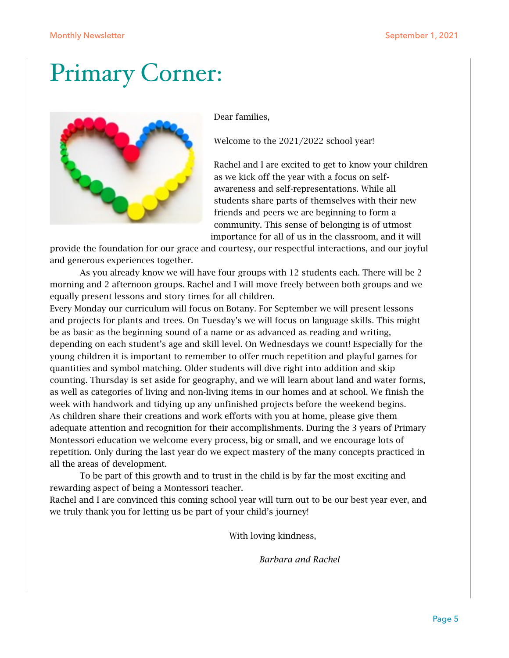### Primary Corner:



Dear families,

Welcome to the 2021/2022 school year!

Rachel and I are excited to get to know your children as we kick off the year with a focus on selfawareness and self-representations. While all students share parts of themselves with their new friends and peers we are beginning to form a community. This sense of belonging is of utmost importance for all of us in the classroom, and it will

provide the foundation for our grace and courtesy, our respectful interactions, and our joyful and generous experiences together.

As you already know we will have four groups with 12 students each. There will be 2 morning and 2 afternoon groups. Rachel and I will move freely between both groups and we equally present lessons and story times for all children.

Every Monday our curriculum will focus on Botany. For September we will present lessons and projects for plants and trees. On Tuesday's we will focus on language skills. This might be as basic as the beginning sound of a name or as advanced as reading and writing, depending on each student's age and skill level. On Wednesdays we count! Especially for the young children it is important to remember to offer much repetition and playful games for quantities and symbol matching. Older students will dive right into addition and skip counting. Thursday is set aside for geography, and we will learn about land and water forms, as well as categories of living and non-living items in our homes and at school. We finish the week with handwork and tidying up any unfinished projects before the weekend begins. As children share their creations and work efforts with you at home, please give them adequate attention and recognition for their accomplishments. During the 3 years of Primary Montessori education we welcome every process, big or small, and we encourage lots of repetition. Only during the last year do we expect mastery of the many concepts practiced in all the areas of development.

To be part of this growth and to trust in the child is by far the most exciting and rewarding aspect of being a Montessori teacher.

Rachel and I are convinced this coming school year will turn out to be our best year ever, and we truly thank you for letting us be part of your child's journey!

With loving kindness,

 *Barbara and Rachel*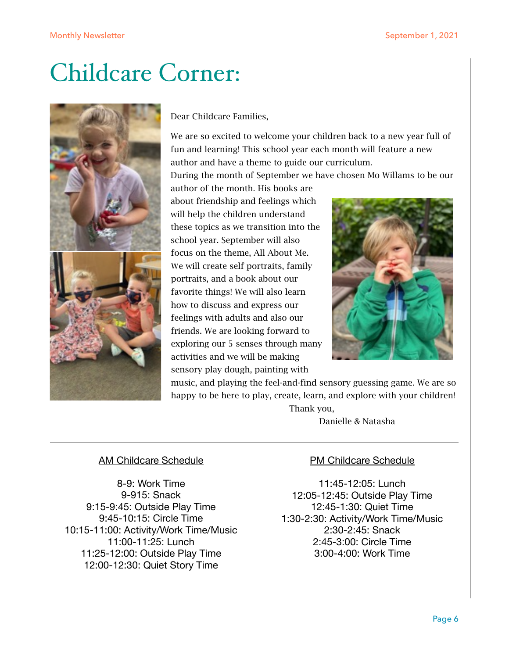### Childcare Corner:



Dear Childcare Families,

We are so excited to welcome your children back to a new year full of fun and learning! This school year each month will feature a new author and have a theme to guide our curriculum.

During the month of September we have chosen Mo Willams to be our

author of the month. His books are about friendship and feelings which will help the children understand these topics as we transition into the school year. September will also focus on the theme, All About Me. We will create self portraits, family portraits, and a book about our favorite things! We will also learn how to discuss and express our feelings with adults and also our friends. We are looking forward to exploring our 5 senses through many activities and we will be making sensory play dough, painting with



music, and playing the feel-and-find sensory guessing game. We are so happy to be here to play, create, learn, and explore with your children!

> Thank you, Danielle & Natasha

#### AM Childcare Schedule

8-9: Work Time 9-915: Snack 9:15-9:45: Outside Play Time 9:45-10:15: Circle Time 10:15-11:00: Activity/Work Time/Music 11:00-11:25: Lunch 11:25-12:00: Outside Play Time 12:00-12:30: Quiet Story Time

#### PM Childcare Schedule

11:45-12:05: Lunch 12:05-12:45: Outside Play Time 12:45-1:30: Quiet Time 1:30-2:30: Activity/Work Time/Music 2:30-2:45: Snack 2:45-3:00: Circle Time 3:00-4:00: Work Time